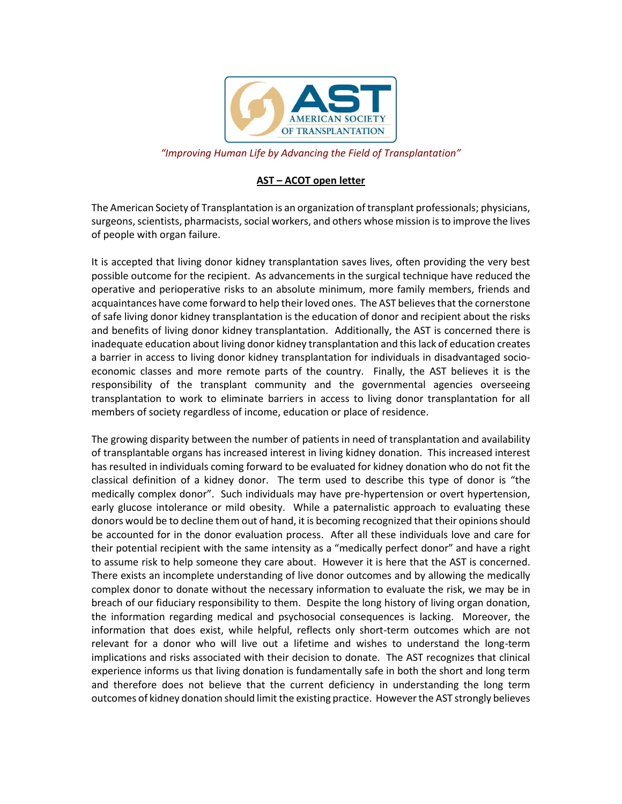

*"Improving Human Life by Advancing the Field of Transplantation"*

## **AST – ACOT open letter**

The American Society of Transplantation is an organization of transplant professionals; physicians, surgeons, scientists, pharmacists, social workers, and others whose mission is to improve the lives of people with organ failure.

It is accepted that living donor kidney transplantation saves lives, often providing the very best possible outcome for the recipient. As advancements in the surgical technique have reduced the operative and perioperative risks to an absolute minimum, more family members, friends and acquaintances have come forward to help their loved ones. The AST believes that the cornerstone of safe living donor kidney transplantation is the education of donor and recipient about the risks and benefits of living donor kidney transplantation. Additionally, the AST is concerned there is inadequate education about living donor kidney transplantation and thislack of education creates a barrier in access to living donor kidney transplantation for individuals in disadvantaged socioeconomic classes and more remote parts of the country. Finally, the AST believes it is the responsibility of the transplant community and the governmental agencies overseeing transplantation to work to eliminate barriers in access to living donor transplantation for all members of society regardless of income, education or place of residence.

The growing disparity between the number of patients in need of transplantation and availability of transplantable organs has increased interest in living kidney donation. This increased interest has resulted in individuals coming forward to be evaluated for kidney donation who do not fit the classical definition of a kidney donor. The term used to describe this type of donor is "the medically complex donor". Such individuals may have pre-hypertension or overt hypertension, early glucose intolerance or mild obesity. While a paternalistic approach to evaluating these donors would be to decline them out of hand, it is becoming recognized that their opinions should be accounted for in the donor evaluation process. After all these individuals love and care for their potential recipient with the same intensity as a "medically perfect donor" and have a right to assume risk to help someone they care about. However it is here that the AST is concerned. There exists an incomplete understanding of live donor outcomes and by allowing the medically complex donor to donate without the necessary information to evaluate the risk, we may be in breach of our fiduciary responsibility to them. Despite the long history of living organ donation, the information regarding medical and psychosocial consequences is lacking. Moreover, the information that does exist, while helpful, reflects only short-term outcomes which are not relevant for a donor who will live out a lifetime and wishes to understand the long-term implications and risks associated with their decision to donate. The AST recognizes that clinical experience informs us that living donation is fundamentally safe in both the short and long term and therefore does not believe that the current deficiency in understanding the long term outcomes of kidney donation should limit the existing practice. However the AST strongly believes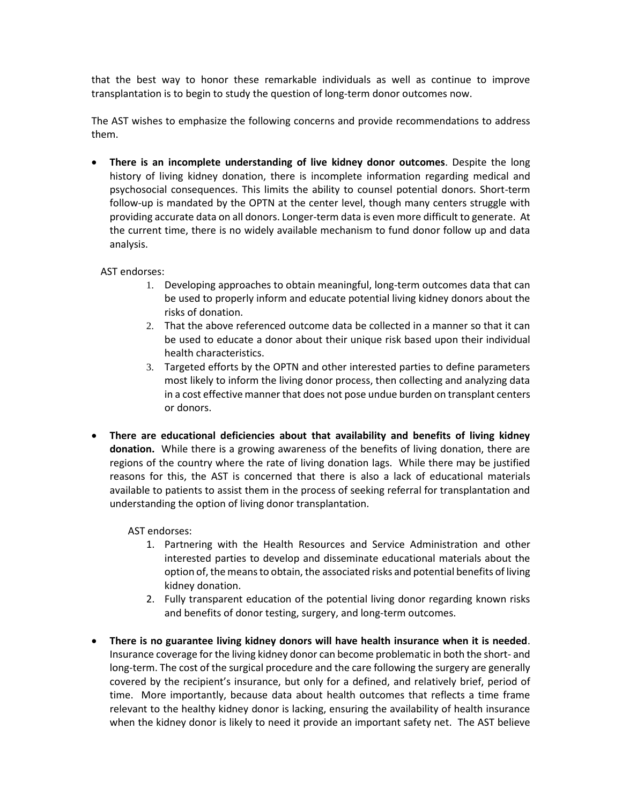that the best way to honor these remarkable individuals as well as continue to improve transplantation is to begin to study the question of long-term donor outcomes now.

The AST wishes to emphasize the following concerns and provide recommendations to address them.

 **There is an incomplete understanding of live kidney donor outcomes**. Despite the long history of living kidney donation, there is incomplete information regarding medical and psychosocial consequences. This limits the ability to counsel potential donors. Short-term follow-up is mandated by the OPTN at the center level, though many centers struggle with providing accurate data on all donors. Longer-term data is even more difficult to generate. At the current time, there is no widely available mechanism to fund donor follow up and data analysis.

AST endorses:

- 1. Developing approaches to obtain meaningful, long-term outcomes data that can be used to properly inform and educate potential living kidney donors about the risks of donation.
- 2. That the above referenced outcome data be collected in a manner so that it can be used to educate a donor about their unique risk based upon their individual health characteristics.
- 3. Targeted efforts by the OPTN and other interested parties to define parameters most likely to inform the living donor process, then collecting and analyzing data in a cost effective manner that does not pose undue burden on transplant centers or donors.
- **There are educational deficiencies about that availability and benefits of living kidney donation.** While there is a growing awareness of the benefits of living donation, there are regions of the country where the rate of living donation lags. While there may be justified reasons for this, the AST is concerned that there is also a lack of educational materials available to patients to assist them in the process of seeking referral for transplantation and understanding the option of living donor transplantation.

AST endorses:

- 1. Partnering with the Health Resources and Service Administration and other interested parties to develop and disseminate educational materials about the option of, the means to obtain, the associated risks and potential benefits of living kidney donation.
- 2. Fully transparent education of the potential living donor regarding known risks and benefits of donor testing, surgery, and long-term outcomes.
- **There is no guarantee living kidney donors will have health insurance when it is needed**. Insurance coverage for the living kidney donor can become problematic in both the short- and long-term. The cost of the surgical procedure and the care following the surgery are generally covered by the recipient's insurance, but only for a defined, and relatively brief, period of time. More importantly, because data about health outcomes that reflects a time frame relevant to the healthy kidney donor is lacking, ensuring the availability of health insurance when the kidney donor is likely to need it provide an important safety net. The AST believe